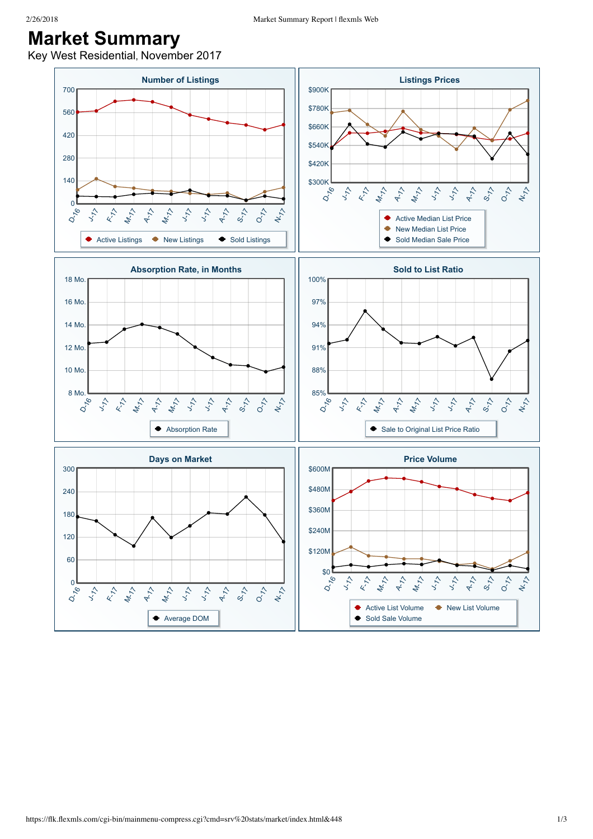## **Market Summary**

Key West Residential, November 2017

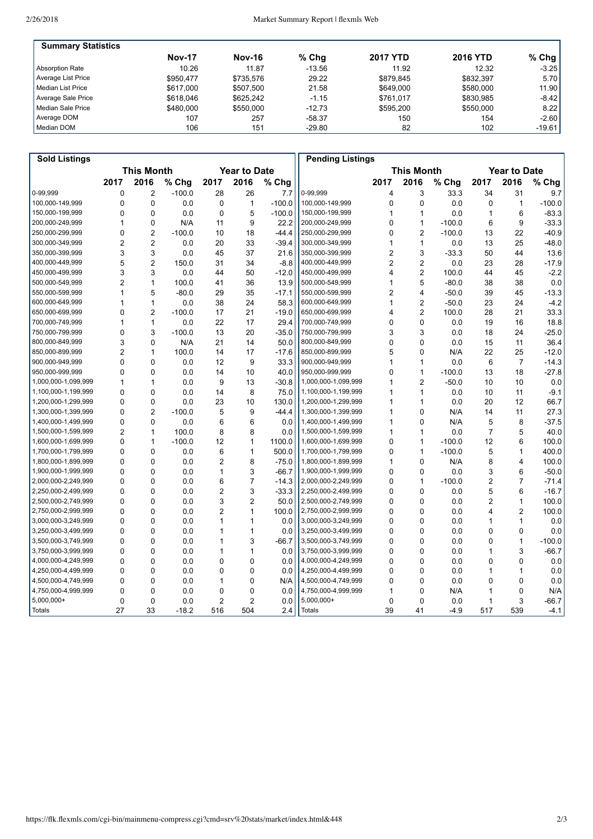| <b>Summary Statistics</b> |               |               |          |                 |                 |          |
|---------------------------|---------------|---------------|----------|-----------------|-----------------|----------|
|                           | <b>Nov-17</b> | <b>Nov-16</b> | $%$ Chg  | <b>2017 YTD</b> | <b>2016 YTD</b> | $%$ Chg  |
| Absorption Rate           | 10.26         | 11.87         | $-13.56$ | 11.92           | 12.32           | $-3.25$  |
| Average List Price        | \$950.477     | \$735.576     | 29.22    | \$879.845       | \$832.397       | 5.70     |
| l Median List Price       | \$617,000     | \$507.500     | 21.58    | \$649.000       | \$580,000       | 11.90    |
| Average Sale Price        | \$618,046     | \$625.242     | $-1.15$  | \$761.017       | \$830.985       | $-8.42$  |
| Median Sale Price         | \$480,000     | \$550.000     | $-12.73$ | \$595.200       | \$550,000       | 8.22     |
| Average DOM               | 107           | 257           | $-58.37$ | 150             | 154             | $-2.60$  |
| Median DOM                | 106           | 151           | $-29.80$ | 82              | 102             | $-19.61$ |

| <b>Sold Listings</b> |                                          |                |          |                |                |          | <b>Pending Listings</b>                  |                |                |          |                |                |          |
|----------------------|------------------------------------------|----------------|----------|----------------|----------------|----------|------------------------------------------|----------------|----------------|----------|----------------|----------------|----------|
|                      | <b>This Month</b><br><b>Year to Date</b> |                |          |                |                |          | <b>This Month</b><br><b>Year to Date</b> |                |                |          |                |                |          |
|                      | 2017                                     | 2016           | % Chg    | 2017           | 2016           | % Chg    |                                          | 2017           | 2016           | % Chg    | 2017           | 2016           | % Chg    |
| 0-99,999             | 0                                        | $\overline{2}$ | $-100.0$ | 28             | 26             | 7.7      | 0-99,999                                 | 4              | 3              | 33.3     | 34             | 31             | 9.7      |
| 100,000-149,999      | 0                                        | 0              | 0.0      | 0              | $\mathbf{1}$   | $-100.0$ | 100,000-149,999                          | 0              | 0              | 0.0      | 0              | 1              | $-100.0$ |
| 150,000-199,999      | 0                                        | 0              | 0.0      | 0              | 5              | $-100.0$ | 150,000-199,999                          | 1              | 1              | 0.0      | $\mathbf{1}$   | 6              | $-83.3$  |
| 200,000-249,999      | 1                                        | 0              | N/A      | 11             | 9              | 22.2     | 200,000-249,999                          | 0              | 1              | $-100.0$ | 6              | 9              | $-33.3$  |
| 250,000-299,999      | 0                                        | 2              | $-100.0$ | 10             | 18             | $-44.4$  | 250,000-299,999                          | 0              | $\overline{2}$ | $-100.0$ | 13             | 22             | $-40.9$  |
| 300,000-349,999      | 2                                        | $\overline{2}$ | 0.0      | 20             | 33             | $-39.4$  | 300,000-349,999                          | 1              | 1              | 0.0      | 13             | 25             | $-48.0$  |
| 350,000-399,999      | 3                                        | 3              | 0.0      | 45             | 37             | 21.6     | 350,000-399,999                          | $\overline{2}$ | 3              | $-33.3$  | 50             | 44             | 13.6     |
| 400,000-449,999      | 5                                        | $\overline{2}$ | 150.0    | 31             | 34             | $-8.8$   | 400,000-449,999                          | 2              | $\overline{2}$ | 0.0      | 23             | 28             | $-17.9$  |
| 450,000-499,999      | 3                                        | 3              | 0.0      | 44             | 50             | $-12.0$  | 450,000-499,999                          | 4              | $\overline{c}$ | 100.0    | 44             | 45             | $-2.2$   |
| 500,000-549,999      | $\overline{2}$                           | 1              | 100.0    | 41             | 36             | 13.9     | 500,000-549,999                          | 1              | 5              | $-80.0$  | 38             | 38             | 0.0      |
| 550,000-599,999      | 1                                        | 5              | $-80.0$  | 29             | 35             | $-17.1$  | 550,000-599,999                          | 2              | 4              | $-50.0$  | 39             | 45             | $-13.3$  |
| 600,000-649,999      | 1                                        | $\mathbf{1}$   | 0.0      | 38             | 24             | 58.3     | 600,000-649,999                          | 1              | $\overline{2}$ | $-50.0$  | 23             | 24             | $-4.2$   |
| 650,000-699,999      | 0                                        | $\overline{2}$ | $-100.0$ | 17             | 21             | $-19.0$  | 650,000-699,999                          | 4              | $\overline{2}$ | 100.0    | 28             | 21             | 33.3     |
| 700,000-749,999      | 1                                        | 1              | 0.0      | 22             | 17             | 29.4     | 700,000-749,999                          | 0              | $\mathbf{0}$   | 0.0      | 19             | 16             | 18.8     |
| 750,000-799,999      | 0                                        | 3              | $-100.0$ | 13             | 20             | $-35.0$  | 750,000-799,999                          | 3              | 3              | 0.0      | 18             | 24             | $-25.0$  |
| 800,000-849,999      | 3                                        | 0              | N/A      | 21             | 14             | 50.0     | 800,000-849,999                          | 0              | $\Omega$       | 0.0      | 15             | 11             | 36.4     |
| 850.000-899.999      | 2                                        | $\mathbf{1}$   | 100.0    | 14             | 17             | $-17.6$  | 850.000-899.999                          | 5              | $\Omega$       | N/A      | 22             | 25             | $-12.0$  |
| 900,000-949,999      | 0                                        | 0              | 0.0      | 12             | 9              | 33.3     | 900,000-949,999                          | 1              | 1              | 0.0      | 6              | $\overline{7}$ | $-14.3$  |
| 950,000-999,999      | 0                                        | $\Omega$       | 0.0      | 14             | 10             | 40.0     | 950,000-999,999                          | $\Omega$       | 1              | $-100.0$ | 13             | 18             | $-27.8$  |
| 1,000,000-1,099,999  | 1                                        | 1              | 0.0      | 9              | 13             | $-30.8$  | 1,000,000-1,099,999                      | 1              | $\overline{2}$ | $-50.0$  | 10             | 10             | 0.0      |
| 1,100,000-1,199,999  | 0                                        | 0              | 0.0      | 14             | 8              | 75.0     | 1,100,000-1,199,999                      | 1              | 1              | 0.0      | 10             | 11             | $-9.1$   |
| 1,200,000-1,299,999  | 0                                        | 0              | 0.0      | 23             | 10             | 130.0    | 1,200,000-1,299,999                      | 1              | 1              | 0.0      | 20             | 12             | 66.7     |
| 1,300,000-1,399,999  | 0                                        | $\overline{2}$ | $-100.0$ | 5              | 9              | $-44.4$  | 1,300,000-1,399,999                      | 1              | 0              | N/A      | 14             | 11             | 27.3     |
| 1,400,000-1,499,999  | 0                                        | $\Omega$       | 0.0      | 6              | 6              | 0.0      | 1,400,000-1,499,999                      | 1              | 0              | N/A      | 5              | 8              | $-37.5$  |
| 1,500,000-1,599,999  | $\overline{c}$                           | 1              | 100.0    | 8              | 8              | 0.0      | 1,500,000-1,599,999                      | 1              | 1              | 0.0      | $\overline{7}$ | 5              | 40.0     |
| 1,600,000-1,699,999  | 0                                        | 1              | $-100.0$ | 12             | 1              | 1100.0   | 1,600,000-1,699,999                      | 0              | 1              | $-100.0$ | 12             | 6              | 100.0    |
| 1,700,000-1,799,999  | 0                                        | 0              | 0.0      | 6              | $\mathbf{1}$   | 500.0    | 1,700,000-1,799,999                      | 0              | 1              | $-100.0$ | 5              | $\mathbf{1}$   | 400.0    |
| 1,800,000-1,899,999  | 0                                        | 0              | 0.0      | $\overline{c}$ | 8              | $-75.0$  | 1,800,000-1,899,999                      | 1              | 0              | N/A      | 8              | $\overline{4}$ | 100.0    |
| 1,900,000-1,999,999  | 0                                        | 0              | 0.0      | 1              | 3              | $-66.7$  | 1,900,000-1,999,999                      | 0              | 0              | 0.0      | 3              | 6              | $-50.0$  |
| 2,000,000-2,249,999  | 0                                        | 0              | 0.0      | 6              | $\overline{7}$ | $-14.3$  | 2,000,000-2,249,999                      | 0              | 1              | $-100.0$ | $\overline{2}$ | $\overline{7}$ | $-71.4$  |
| 2,250,000-2,499,999  | 0                                        | 0              | 0.0      | 2              | 3              | $-33.3$  | 2,250,000-2,499,999                      | 0              | $\mathbf 0$    | 0.0      | 5              | 6              | $-16.7$  |
| 2,500,000-2,749,999  | 0                                        | 0              | 0.0      | 3              | $\overline{c}$ | 50.0     | 2,500,000-2,749,999                      | 0              | $\mathbf 0$    | 0.0      | $\overline{2}$ | $\mathbf{1}$   | 100.0    |
| 2,750,000-2,999,999  | 0                                        | 0              | 0.0      | $\overline{c}$ | $\mathbf{1}$   | 100.0    | 2,750,000-2,999,999                      | 0              | 0              | 0.0      | $\overline{4}$ | $\overline{2}$ | 100.0    |
| 3,000,000-3,249,999  | 0                                        | $\Omega$       | 0.0      | 1              | $\mathbf{1}$   | 0.0      | 3,000,000-3,249,999                      | 0              | 0              | 0.0      | 1              | $\mathbf{1}$   | 0.0      |
| 3,250,000-3,499,999  | 0                                        | 0              | 0.0      | 1              | 1              | 0.0      | 3,250,000-3,499,999                      | 0              | 0              | 0.0      | 0              | 0              | 0.0      |
| 3,500,000-3,749,999  | 0                                        | 0              | 0.0      | 1              | 3              | $-66.7$  | 3,500,000-3,749,999                      | 0              | $\mathbf 0$    | 0.0      | 0              | $\mathbf{1}$   | $-100.0$ |
| 3,750,000-3,999,999  | 0                                        | 0              | 0.0      | 1              | $\mathbf{1}$   | 0.0      | 3,750,000-3,999,999                      | 0              | $\mathbf 0$    | 0.0      | $\mathbf{1}$   | 3              | $-66.7$  |
| 4,000,000-4,249,999  | 0                                        | 0              | 0.0      | 0              | $\mathbf 0$    | 0.0      | 4,000,000-4,249,999                      | 0              | 0              | 0.0      | 0              | $\Omega$       | 0.0      |
| 4,250,000-4,499,999  | 0                                        | $\Omega$       | 0.0      | 0              | $\Omega$       | 0.0      | 4,250,000-4,499,999                      | 0              | 0              | 0.0      | 1              | 1              | 0.0      |
| 4,500,000-4,749,999  | 0                                        | 0              | 0.0      | 1              | $\mathbf 0$    | N/A      | 4,500,000-4,749,999                      | 0              | $\mathbf 0$    | 0.0      | 0              | $\mathbf 0$    | 0.0      |
| 4,750,000-4,999,999  | 0                                        | 0              | 0.0      | 0              | $\mathbf 0$    | 0.0      | 4,750,000-4,999,999                      | 1              | $\mathbf 0$    | N/A      | 1              | 0              | N/A      |
| $5,000,000+$         | 0                                        | $\mathbf 0$    | 0.0      | 2              | $\overline{2}$ | 0.0      | $5,000,000+$                             | 0              | $\mathbf 0$    | 0.0      | 1              | 3              | $-66.7$  |
| Totals               | 27                                       | 33             | $-18.2$  | 516            | 504            | 2.4      | <b>Totals</b>                            | 39             | 41             | $-4.9$   | 517            | 539            | $-4.1$   |